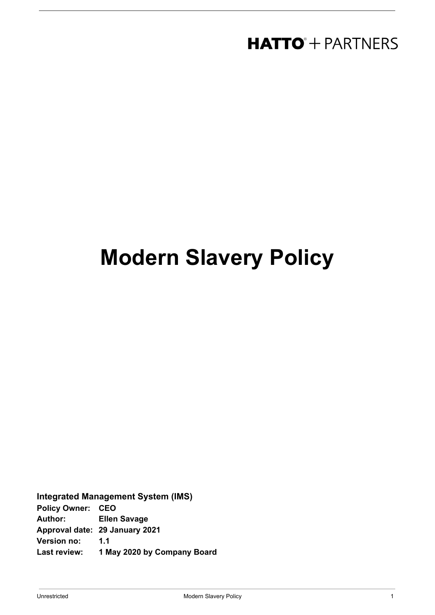### **HATTO**<sup>+</sup> PARTNERS

# **Modern Slavery Policy**

**Integrated Management System (IMS) Policy Owner: CEO Author: Ellen Savage Approval date: 29 January 2021**

**Version no: 1.1**

**Last review: 1 May 2020 by Company Board**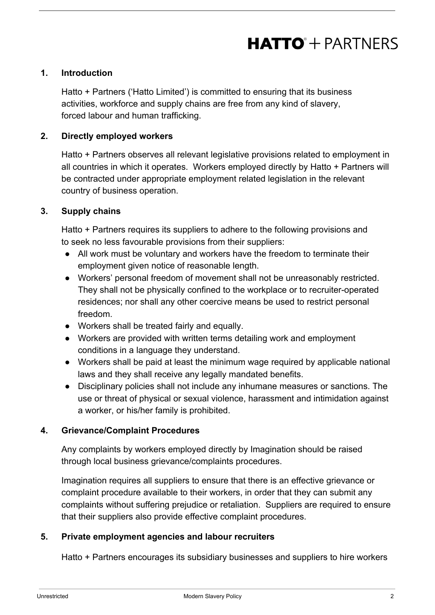## **HATTO**<sup>+</sup> PARTNERS

#### **1. Introduction**

Hatto + Partners ('Hatto Limited') is committed to ensuring that its business activities, workforce and supply chains are free from any kind of slavery, forced labour and human trafficking.

#### **2. Directly employed workers**

Hatto + Partners observes all relevant legislative provisions related to employment in all countries in which it operates. Workers employed directly by Hatto + Partners will be contracted under appropriate employment related legislation in the relevant country of business operation.

#### **3. Supply chains**

Hatto + Partners requires its suppliers to adhere to the following provisions and to seek no less favourable provisions from their suppliers:

- All work must be voluntary and workers have the freedom to terminate their employment given notice of reasonable length.
- Workers' personal freedom of movement shall not be unreasonably restricted. They shall not be physically confined to the workplace or to recruiter-operated residences; nor shall any other coercive means be used to restrict personal freedom.
- Workers shall be treated fairly and equally.
- Workers are provided with written terms detailing work and employment conditions in a language they understand.
- Workers shall be paid at least the minimum wage required by applicable national laws and they shall receive any legally mandated benefits.
- Disciplinary policies shall not include any inhumane measures or sanctions. The use or threat of physical or sexual violence, harassment and intimidation against a worker, or his/her family is prohibited.

#### **4. Grievance/Complaint Procedures**

Any complaints by workers employed directly by Imagination should be raised through local business grievance/complaints procedures.

Imagination requires all suppliers to ensure that there is an effective grievance or complaint procedure available to their workers, in order that they can submit any complaints without suffering prejudice or retaliation. Suppliers are required to ensure that their suppliers also provide effective complaint procedures.

#### **5. Private employment agencies and labour recruiters**

Hatto + Partners encourages its subsidiary businesses and suppliers to hire workers